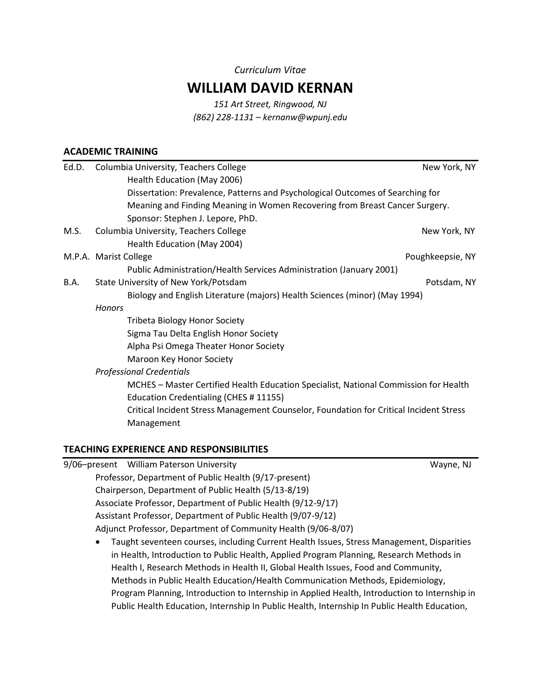#### *Curriculum Vitae*

# **WILLIAM DAVID KERNAN**

*151 Art Street, Ringwood, NJ (862) 228-1131 – kernanw@wpunj.edu*

### **ACADEMIC TRAINING**

| Ed.D. | Columbia University, Teachers College                                                  | New York, NY     |  |
|-------|----------------------------------------------------------------------------------------|------------------|--|
|       | Health Education (May 2006)                                                            |                  |  |
|       | Dissertation: Prevalence, Patterns and Psychological Outcomes of Searching for         |                  |  |
|       | Meaning and Finding Meaning in Women Recovering from Breast Cancer Surgery.            |                  |  |
|       | Sponsor: Stephen J. Lepore, PhD.                                                       |                  |  |
| M.S.  | Columbia University, Teachers College                                                  | New York, NY     |  |
|       | Health Education (May 2004)                                                            |                  |  |
|       | M.P.A. Marist College                                                                  | Poughkeepsie, NY |  |
|       | Public Administration/Health Services Administration (January 2001)                    |                  |  |
| B.A.  | State University of New York/Potsdam                                                   | Potsdam, NY      |  |
|       | Biology and English Literature (majors) Health Sciences (minor) (May 1994)             |                  |  |
|       | <b>Honors</b>                                                                          |                  |  |
|       | <b>Tribeta Biology Honor Society</b>                                                   |                  |  |
|       | Sigma Tau Delta English Honor Society                                                  |                  |  |
|       | Alpha Psi Omega Theater Honor Society                                                  |                  |  |
|       | Maroon Key Honor Society                                                               |                  |  |
|       | <b>Professional Credentials</b>                                                        |                  |  |
|       | MCHES - Master Certified Health Education Specialist, National Commission for Health   |                  |  |
|       | Education Credentialing (CHES # 11155)                                                 |                  |  |
|       | Critical Incident Stress Management Counselor, Foundation for Critical Incident Stress |                  |  |
|       | Management                                                                             |                  |  |
|       |                                                                                        |                  |  |

#### **TEACHING EXPERIENCE AND RESPONSIBILITIES**

|                                                       | 9/06-present William Paterson University                                                  | Wayne, NJ |  |
|-------------------------------------------------------|-------------------------------------------------------------------------------------------|-----------|--|
| Professor, Department of Public Health (9/17-present) |                                                                                           |           |  |
|                                                       | Chairperson, Department of Public Health (5/13-8/19)                                      |           |  |
|                                                       | Associate Professor, Department of Public Health (9/12-9/17)                              |           |  |
|                                                       | Assistant Professor, Department of Public Health (9/07-9/12)                              |           |  |
|                                                       | Adjunct Professor, Department of Community Health (9/06-8/07)                             |           |  |
| $\bullet$                                             | Taught seventeen courses, including Current Health Issues, Stress Management, Disparities |           |  |
|                                                       | in Health, Introduction to Public Health, Applied Program Planning, Research Methods in   |           |  |
|                                                       | Health I, Research Methods in Health II, Global Health Issues, Food and Community,        |           |  |
|                                                       |                                                                                           |           |  |

Methods in Public Health Education/Health Communication Methods, Epidemiology, Program Planning, Introduction to Internship in Applied Health, Introduction to Internship in Public Health Education, Internship In Public Health, Internship In Public Health Education,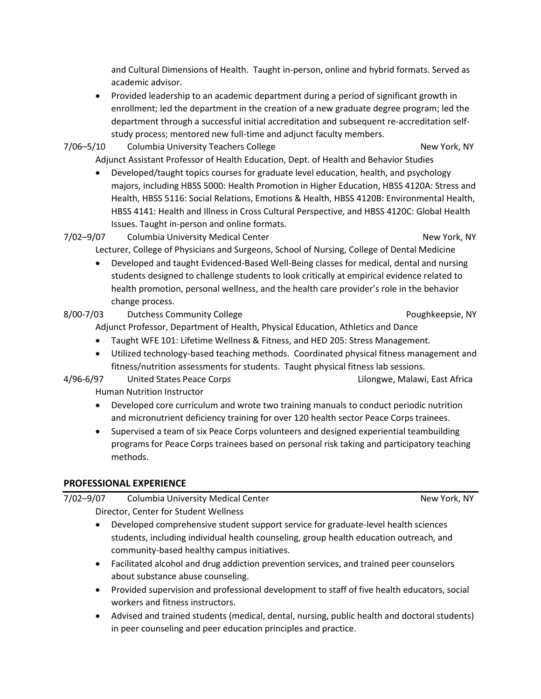and Cultural Dimensions of Health. Taught in-person, online and hybrid formats. Served as academic advisor.

- Provided leadership to an academic department during a period of significant growth in enrollment; led the department in the creation of a new graduate degree program; led the department through a successful initial accreditation and subsequent re-accreditation selfstudy process; mentored new full-time and adjunct faculty members.
- 7/06–5/10 Columbia University Teachers College New York, NY Adjunct Assistant Professor of Health Education, Dept. of Health and Behavior Studies
	- Developed/taught topics courses for graduate level education, health, and psychology majors, including HBSS 5000: Health Promotion in Higher Education, HBSS 4120A: Stress and Health, HBSS 5116: Social Relations, Emotions & Health, HBSS 4120B: Environmental Health, HBSS 4141: Health and Illness in Cross Cultural Perspective, and HBSS 4120C: Global Health Issues. Taught in-person and online formats.

7/02-9/07 Columbia University Medical Center New York, NY Lecturer, College of Physicians and Surgeons, School of Nursing, College of Dental Medicine

 Developed and taught Evidenced-Based Well-Being classes for medical, dental and nursing students designed to challenge students to look critically at empirical evidence related to health promotion, personal wellness, and the health care provider's role in the behavior change process.

8/00-7/03 Dutchess Community College **Poughteepsie, NY** Poughkeepsie, NY

Adjunct Professor, Department of Health, Physical Education, Athletics and Dance

- Taught WFE 101: Lifetime Wellness & Fitness, and HED 205: Stress Management.
- Utilized technology-based teaching methods. Coordinated physical fitness management and fitness/nutrition assessments for students. Taught physical fitness lab sessions.
- 4/96-6/97 United States Peace Corps Lilongwe, Malawi, East Africa Human Nutrition Instructor
	- Developed core curriculum and wrote two training manuals to conduct periodic nutrition and micronutrient deficiency training for over 120 health sector Peace Corps trainees.
	- Supervised a team of six Peace Corps volunteers and designed experiential teambuilding programs for Peace Corps trainees based on personal risk taking and participatory teaching methods.

## **PROFESSIONAL EXPERIENCE**

7/02-9/07 Columbia University Medical Center New York, NY Director, Center for Student Wellness

- Developed comprehensive student support service for graduate-level health sciences students, including individual health counseling, group health education outreach, and community-based healthy campus initiatives.
- Facilitated alcohol and drug addiction prevention services, and trained peer counselors about substance abuse counseling.
- Provided supervision and professional development to staff of five health educators, social workers and fitness instructors.
- Advised and trained students (medical, dental, nursing, public health and doctoral students) in peer counseling and peer education principles and practice.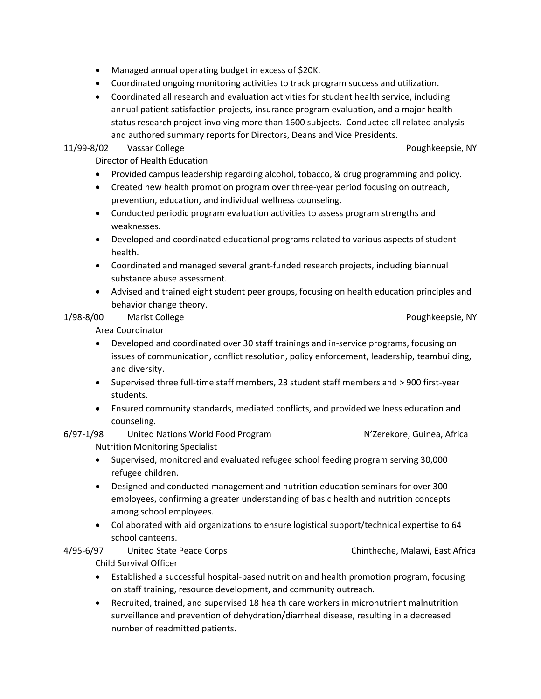- Managed annual operating budget in excess of \$20K.
- Coordinated ongoing monitoring activities to track program success and utilization.
- Coordinated all research and evaluation activities for student health service, including annual patient satisfaction projects, insurance program evaluation, and a major health status research project involving more than 1600 subjects. Conducted all related analysis and authored summary reports for Directors, Deans and Vice Presidents.

### 11/99-8/02 Vassar College Poughkeepsie, NY

Director of Health Education

- Provided campus leadership regarding alcohol, tobacco, & drug programming and policy.
- Created new health promotion program over three-year period focusing on outreach, prevention, education, and individual wellness counseling.
- Conducted periodic program evaluation activities to assess program strengths and weaknesses.
- Developed and coordinated educational programs related to various aspects of student health.
- Coordinated and managed several grant-funded research projects, including biannual substance abuse assessment.
- Advised and trained eight student peer groups, focusing on health education principles and behavior change theory.

### 1/98-8/00 Marist College Poughkeepsie, NY

Area Coordinator

- Developed and coordinated over 30 staff trainings and in-service programs, focusing on issues of communication, conflict resolution, policy enforcement, leadership, teambuilding, and diversity.
- Supervised three full-time staff members, 23 student staff members and > 900 first-year students.
- Ensured community standards, mediated conflicts, and provided wellness education and counseling.
- 6/97-1/98 United Nations World Food Program N'Zerekore, Guinea, Africa Nutrition Monitoring Specialist
	- Supervised, monitored and evaluated refugee school feeding program serving 30,000 refugee children.
	- Designed and conducted management and nutrition education seminars for over 300 employees, confirming a greater understanding of basic health and nutrition concepts among school employees.
	- Collaborated with aid organizations to ensure logistical support/technical expertise to 64 school canteens.

4/95-6/97 United State Peace Corps Chintheche, Malawi, East Africa Child Survival Officer

- Established a successful hospital-based nutrition and health promotion program, focusing on staff training, resource development, and community outreach.
- Recruited, trained, and supervised 18 health care workers in micronutrient malnutrition surveillance and prevention of dehydration/diarrheal disease, resulting in a decreased number of readmitted patients.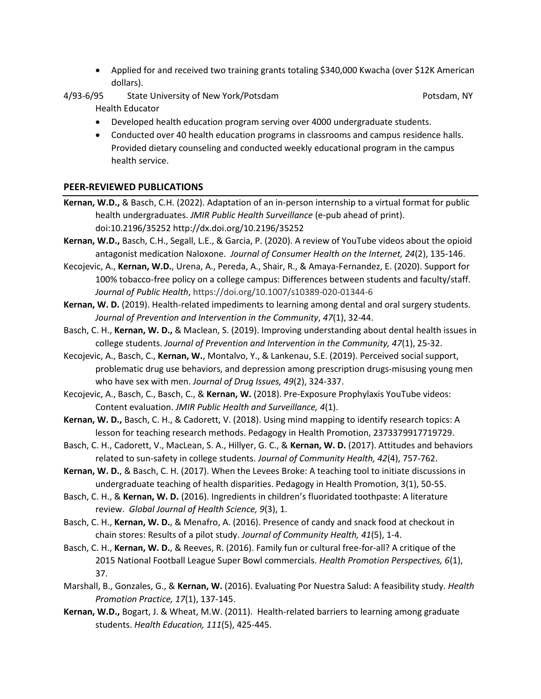- Applied for and received two training grants totaling \$340,000 Kwacha (over \$12K American dollars).
- A/93-6/95 State University of New York/Potsdam State Area and State Area Potsdam, NY Health Educator
	- Developed health education program serving over 4000 undergraduate students.
	- Conducted over 40 health education programs in classrooms and campus residence halls. Provided dietary counseling and conducted weekly educational program in the campus health service.

#### **PEER-REVIEWED PUBLICATIONS**

- **Kernan, W.D.,** & Basch, C.H. (2022). Adaptation of an in-person internship to a virtual format for public health undergraduates. *JMIR Public Health Surveillance* (e-pub ahead of print). doi:10.2196/35252 http://dx.doi.org/10.2196/35252
- **Kernan, W.D.,** Basch, C.H., Segall, L.E., & Garcia, P. (2020). A review of YouTube videos about the opioid antagonist medication Naloxone. *Journal of Consumer Health on the Internet, 24*(2), 135-146.
- Kecojevic, A., **Kernan, W.D.**, Urena, A., Pereda, A., Shair, R., & Amaya-Fernandez, E. (2020). Support for 100% tobacco-free policy on a college campus: Differences between students and faculty/staff. *Journal of Public Health*, https://doi.org/10.1007/s10389-020-01344-6
- **Kernan, W. D.** (2019). Health-related impediments to learning among dental and oral surgery students. *Journal of Prevention and Intervention in the Community*, *47*(1), 32-44.
- Basch, C. H., **Kernan, W. D.,** & Maclean, S. (2019). Improving understanding about dental health issues in college students. *Journal of Prevention and Intervention in the Community, 47*(1), 25-32.
- Kecojevic, A., Basch, C., **Kernan, W.**, Montalvo, Y., & Lankenau, S.E. (2019). Perceived social support, problematic drug use behaviors, and depression among prescription drugs-misusing young men who have sex with men. *Journal of Drug Issues, 49*(2), 324-337.
- Kecojevic, A., Basch, C., Basch, C., & **Kernan, W.** (2018). Pre-Exposure Prophylaxis YouTube videos: Content evaluation. *JMIR Public Health and Surveillance, 4*(1).
- **Kernan, W. D.,** Basch, C. H., & Cadorett, V. (2018). Using mind mapping to identify research topics: A lesson for teaching research methods. Pedagogy in Health Promotion, 2373379917719729.
- Basch, C. H., Cadorett, V., MacLean, S. A., Hillyer, G. C., & **Kernan, W. D.** (2017). Attitudes and behaviors related to sun-safety in college students. *Journal of Community Health, 42*(4), 757-762.
- **Kernan, W. D.**, & Basch, C. H. (2017). When the Levees Broke: A teaching tool to initiate discussions in undergraduate teaching of health disparities. Pedagogy in Health Promotion, 3(1), 50-55.
- Basch, C. H., & **Kernan, W. D.** (2016). Ingredients in children's fluoridated toothpaste: A literature review. *Global Journal of Health Science, 9*(3), 1.
- Basch, C. H., **Kernan, W. D.**, & Menafro, A. (2016). Presence of candy and snack food at checkout in chain stores: Results of a pilot study. *Journal of Community Health, 41*(5), 1-4.
- Basch, C. H., **Kernan, W. D.**, & Reeves, R. (2016). Family fun or cultural free-for-all? A critique of the 2015 National Football League Super Bowl commercials. *Health Promotion Perspectives, 6*(1), 37.
- Marshall, B., Gonzales, G., & **Kernan, W.** (2016). Evaluating Por Nuestra Salud: A feasibility study. *Health Promotion Practice, 17*(1), 137-145.
- **Kernan, W.D.,** Bogart, J. & Wheat, M.W. (2011). Health-related barriers to learning among graduate students. *Health Education, 111*(5), 425-445.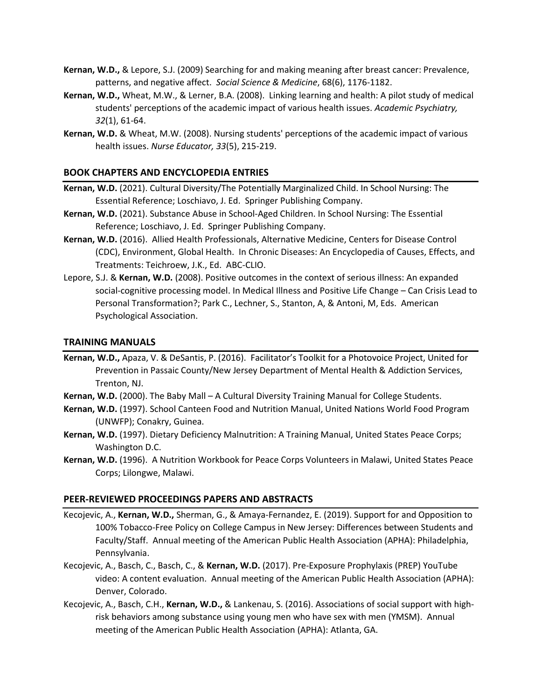- **Kernan, W.D.,** & Lepore, S.J. (2009) Searching for and making meaning after breast cancer: Prevalence, patterns, and negative affect. *Social Science & Medicine*, 68(6), 1176-1182.
- **Kernan, W.D.,** Wheat, M.W., & Lerner, B.A. (2008). Linking learning and health: A pilot study of medical students' perceptions of the academic impact of various health issues. *Academic Psychiatry, 32*(1), 61-64.
- **Kernan, W.D.** & Wheat, M.W. (2008). Nursing students' perceptions of the academic impact of various health issues. *Nurse Educator, 33*(5), 215-219.

#### **BOOK CHAPTERS AND ENCYCLOPEDIA ENTRIES**

- **Kernan, W.D.** (2021). Cultural Diversity/The Potentially Marginalized Child. In School Nursing: The Essential Reference; Loschiavo, J. Ed. Springer Publishing Company.
- **Kernan, W.D.** (2021). Substance Abuse in School-Aged Children. In School Nursing: The Essential Reference; Loschiavo, J. Ed. Springer Publishing Company.
- **Kernan, W.D.** (2016). Allied Health Professionals, Alternative Medicine, Centers for Disease Control (CDC), Environment, Global Health. In Chronic Diseases: An Encyclopedia of Causes, Effects, and Treatments: Teichroew, J.K., Ed. ABC-CLIO.
- Lepore, S.J. & **Kernan, W.D.** (2008). Positive outcomes in the context of serious illness: An expanded social-cognitive processing model. In Medical Illness and Positive Life Change – Can Crisis Lead to Personal Transformation?; Park C., Lechner, S., Stanton, A, & Antoni, M, Eds. American Psychological Association.

#### **TRAINING MANUALS**

- **Kernan, W.D.,** Apaza, V. & DeSantis, P. (2016). Facilitator's Toolkit for a Photovoice Project, United for Prevention in Passaic County/New Jersey Department of Mental Health & Addiction Services, Trenton, NJ.
- **Kernan, W.D.** (2000). The Baby Mall A Cultural Diversity Training Manual for College Students.
- **Kernan, W.D.** (1997). School Canteen Food and Nutrition Manual, United Nations World Food Program (UNWFP); Conakry, Guinea.
- **Kernan, W.D.** (1997). Dietary Deficiency Malnutrition: A Training Manual, United States Peace Corps; Washington D.C.
- **Kernan, W.D.** (1996). A Nutrition Workbook for Peace Corps Volunteers in Malawi, United States Peace Corps; Lilongwe, Malawi.

#### **PEER-REVIEWED PROCEEDINGS PAPERS AND ABSTRACTS**

- Kecojevic, A., **Kernan, W.D.,** Sherman, G., & Amaya-Fernandez, E. (2019). Support for and Opposition to 100% Tobacco-Free Policy on College Campus in New Jersey: Differences between Students and Faculty/Staff. Annual meeting of the American Public Health Association (APHA): Philadelphia, Pennsylvania.
- Kecojevic, A., Basch, C., Basch, C., & **Kernan, W.D.** (2017). Pre-Exposure Prophylaxis (PREP) YouTube video: A content evaluation. Annual meeting of the American Public Health Association (APHA): Denver, Colorado.
- Kecojevic, A., Basch, C.H., **Kernan, W.D.,** & Lankenau, S. (2016). Associations of social support with highrisk behaviors among substance using young men who have sex with men (YMSM). Annual meeting of the American Public Health Association (APHA): Atlanta, GA.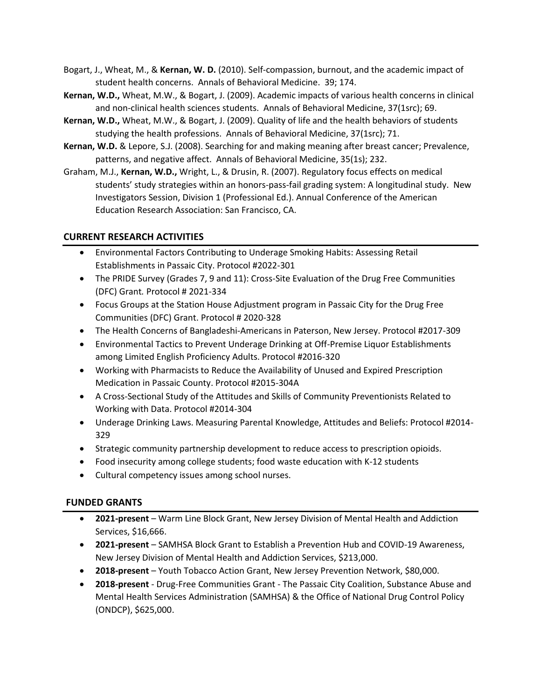- Bogart, J., Wheat, M., & **Kernan, W. D.** (2010). Self-compassion, burnout, and the academic impact of student health concerns. Annals of Behavioral Medicine. 39; 174.
- **Kernan, W.D.,** Wheat, M.W., & Bogart, J. (2009). Academic impacts of various health concerns in clinical and non-clinical health sciences students. Annals of Behavioral Medicine, 37(1src); 69.
- **Kernan, W.D.,** Wheat, M.W., & Bogart, J. (2009). Quality of life and the health behaviors of students studying the health professions. Annals of Behavioral Medicine, 37(1src); 71.
- **Kernan, W.D.** & Lepore, S.J. (2008). Searching for and making meaning after breast cancer; Prevalence, patterns, and negative affect. Annals of Behavioral Medicine, 35(1s); 232.
- Graham, M.J., **Kernan, W.D.,** Wright, L., & Drusin, R. (2007). Regulatory focus effects on medical students' study strategies within an honors-pass-fail grading system: A longitudinal study. New Investigators Session, Division 1 (Professional Ed.). Annual Conference of the American Education Research Association: San Francisco, CA.

# **CURRENT RESEARCH ACTIVITIES**

- Environmental Factors Contributing to Underage Smoking Habits: Assessing Retail Establishments in Passaic City. Protocol #2022-301
- The PRIDE Survey (Grades 7, 9 and 11): Cross-Site Evaluation of the Drug Free Communities (DFC) Grant*.* Protocol # 2021-334
- Focus Groups at the Station House Adjustment program in Passaic City for the Drug Free Communities (DFC) Grant. Protocol # 2020-328
- The Health Concerns of Bangladeshi-Americans in Paterson, New Jersey. Protocol #2017-309
- Environmental Tactics to Prevent Underage Drinking at Off-Premise Liquor Establishments among Limited English Proficiency Adults. Protocol #2016-320
- Working with Pharmacists to Reduce the Availability of Unused and Expired Prescription Medication in Passaic County. Protocol #2015-304A
- A Cross-Sectional Study of the Attitudes and Skills of Community Preventionists Related to Working with Data. Protocol #2014-304
- Underage Drinking Laws. Measuring Parental Knowledge, Attitudes and Beliefs: Protocol #2014- 329
- Strategic community partnership development to reduce access to prescription opioids.
- Food insecurity among college students; food waste education with K-12 students
- Cultural competency issues among school nurses.

## **FUNDED GRANTS**

- **2021-present** Warm Line Block Grant, New Jersey Division of Mental Health and Addiction Services, \$16,666.
- **2021-present** SAMHSA Block Grant to Establish a Prevention Hub and COVID-19 Awareness, New Jersey Division of Mental Health and Addiction Services, \$213,000.
- **2018-present** Youth Tobacco Action Grant, New Jersey Prevention Network, \$80,000.
- **2018-present** Drug-Free Communities Grant The Passaic City Coalition, Substance Abuse and Mental Health Services Administration (SAMHSA) & the Office of National Drug Control Policy (ONDCP), \$625,000.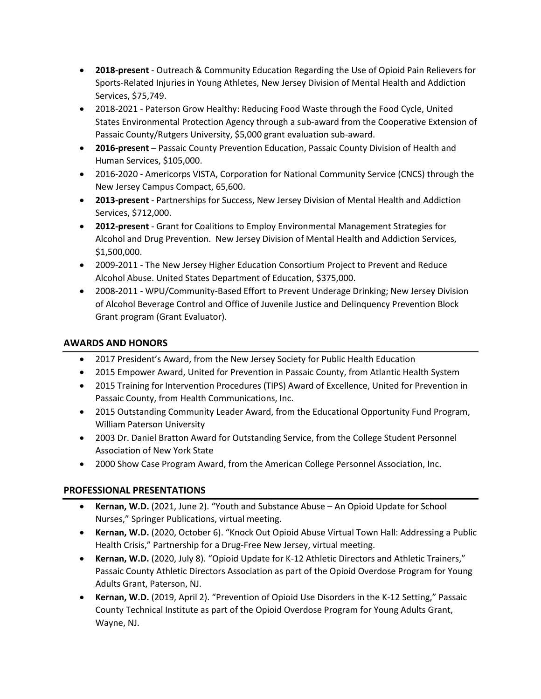- **2018-present** Outreach & Community Education Regarding the Use of Opioid Pain Relievers for Sports-Related Injuries in Young Athletes, New Jersey Division of Mental Health and Addiction Services, \$75,749.
- 2018-2021 Paterson Grow Healthy: Reducing Food Waste through the Food Cycle, United States Environmental Protection Agency through a sub-award from the Cooperative Extension of Passaic County/Rutgers University, \$5,000 grant evaluation sub-award.
- **2016-present** Passaic County Prevention Education, Passaic County Division of Health and Human Services, \$105,000.
- 2016-2020 Americorps VISTA, Corporation for National Community Service (CNCS) through the New Jersey Campus Compact, 65,600.
- **2013-present** Partnerships for Success, New Jersey Division of Mental Health and Addiction Services, \$712,000.
- **2012-present** Grant for Coalitions to Employ Environmental Management Strategies for Alcohol and Drug Prevention. New Jersey Division of Mental Health and Addiction Services, \$1,500,000.
- 2009-2011 The New Jersey Higher Education Consortium Project to Prevent and Reduce Alcohol Abuse. United States Department of Education, \$375,000.
- 2008-2011 WPU/Community-Based Effort to Prevent Underage Drinking; New Jersey Division of Alcohol Beverage Control and Office of Juvenile Justice and Delinquency Prevention Block Grant program (Grant Evaluator).

# **AWARDS AND HONORS**

- 2017 President's Award, from the New Jersey Society for Public Health Education
- 2015 Empower Award, United for Prevention in Passaic County, from Atlantic Health System
- 2015 Training for Intervention Procedures (TIPS) Award of Excellence, United for Prevention in Passaic County, from Health Communications, Inc.
- 2015 Outstanding Community Leader Award, from the Educational Opportunity Fund Program, William Paterson University
- 2003 Dr. Daniel Bratton Award for Outstanding Service, from the College Student Personnel Association of New York State
- 2000 Show Case Program Award, from the American College Personnel Association, Inc.

# **PROFESSIONAL PRESENTATIONS**

- **Kernan, W.D.** (2021, June 2). "Youth and Substance Abuse An Opioid Update for School Nurses," Springer Publications, virtual meeting.
- **Kernan, W.D.** (2020, October 6). "Knock Out Opioid Abuse Virtual Town Hall: Addressing a Public Health Crisis," Partnership for a Drug-Free New Jersey, virtual meeting.
- **Kernan, W.D.** (2020, July 8). "Opioid Update for K-12 Athletic Directors and Athletic Trainers," Passaic County Athletic Directors Association as part of the Opioid Overdose Program for Young Adults Grant, Paterson, NJ.
- **Kernan, W.D.** (2019, April 2). "Prevention of Opioid Use Disorders in the K-12 Setting," Passaic County Technical Institute as part of the Opioid Overdose Program for Young Adults Grant, Wayne, NJ.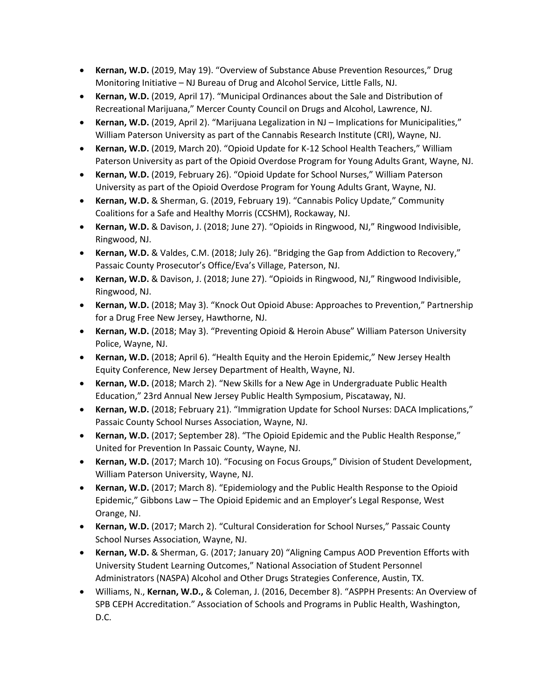- **Kernan, W.D.** (2019, May 19). "Overview of Substance Abuse Prevention Resources," Drug Monitoring Initiative – NJ Bureau of Drug and Alcohol Service, Little Falls, NJ.
- **Kernan, W.D.** (2019, April 17). "Municipal Ordinances about the Sale and Distribution of Recreational Marijuana," Mercer County Council on Drugs and Alcohol, Lawrence, NJ.
- **Kernan, W.D.** (2019, April 2). "Marijuana Legalization in NJ Implications for Municipalities," William Paterson University as part of the Cannabis Research Institute (CRI), Wayne, NJ.
- **Kernan, W.D.** (2019, March 20). "Opioid Update for K-12 School Health Teachers," William Paterson University as part of the Opioid Overdose Program for Young Adults Grant, Wayne, NJ.
- **Kernan, W.D.** (2019, February 26). "Opioid Update for School Nurses," William Paterson University as part of the Opioid Overdose Program for Young Adults Grant, Wayne, NJ.
- **Kernan, W.D.** & Sherman, G. (2019, February 19). "Cannabis Policy Update," Community Coalitions for a Safe and Healthy Morris (CCSHM), Rockaway, NJ.
- **Kernan, W.D.** & Davison, J. (2018; June 27). "Opioids in Ringwood, NJ," Ringwood Indivisible, Ringwood, NJ.
- **Kernan, W.D.** & Valdes, C.M. (2018; July 26). "Bridging the Gap from Addiction to Recovery," Passaic County Prosecutor's Office/Eva's Village, Paterson, NJ.
- **Kernan, W.D.** & Davison, J. (2018; June 27). "Opioids in Ringwood, NJ," Ringwood Indivisible, Ringwood, NJ.
- **Kernan, W.D.** (2018; May 3). "Knock Out Opioid Abuse: Approaches to Prevention," Partnership for a Drug Free New Jersey, Hawthorne, NJ.
- **Kernan, W.D.** (2018; May 3). "Preventing Opioid & Heroin Abuse" William Paterson University Police, Wayne, NJ.
- **Kernan, W.D.** (2018; April 6). "Health Equity and the Heroin Epidemic," New Jersey Health Equity Conference, New Jersey Department of Health, Wayne, NJ.
- **Kernan, W.D.** (2018; March 2). "New Skills for a New Age in Undergraduate Public Health Education," 23rd Annual New Jersey Public Health Symposium, Piscataway, NJ.
- **Kernan, W.D.** (2018; February 21). "Immigration Update for School Nurses: DACA Implications," Passaic County School Nurses Association, Wayne, NJ.
- **Kernan, W.D.** (2017; September 28). "The Opioid Epidemic and the Public Health Response," United for Prevention In Passaic County, Wayne, NJ.
- **Kernan, W.D.** (2017; March 10). "Focusing on Focus Groups," Division of Student Development, William Paterson University, Wayne, NJ.
- **Kernan, W.D.** (2017; March 8). "Epidemiology and the Public Health Response to the Opioid Epidemic," Gibbons Law – The Opioid Epidemic and an Employer's Legal Response, West Orange, NJ.
- **Kernan, W.D.** (2017; March 2). "Cultural Consideration for School Nurses," Passaic County School Nurses Association, Wayne, NJ.
- **Kernan, W.D.** & Sherman, G. (2017; January 20) "Aligning Campus AOD Prevention Efforts with University Student Learning Outcomes," National Association of Student Personnel Administrators (NASPA) Alcohol and Other Drugs Strategies Conference, Austin, TX.
- Williams, N., **Kernan, W.D.,** & Coleman, J. (2016, December 8). "ASPPH Presents: An Overview of SPB CEPH Accreditation." Association of Schools and Programs in Public Health, Washington, D.C.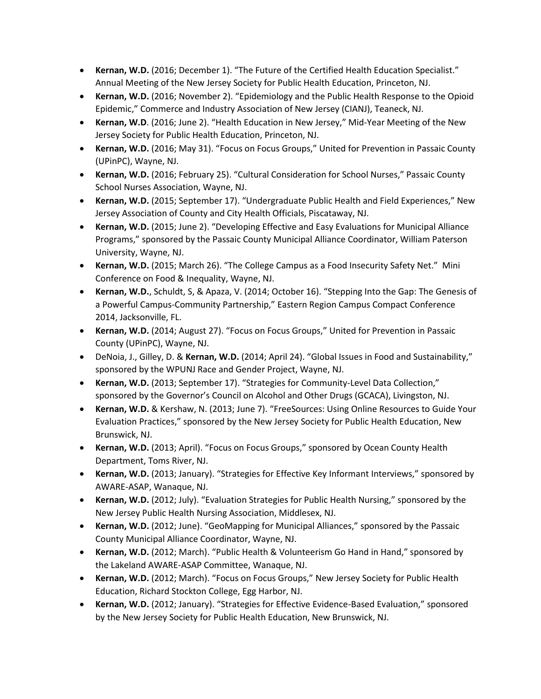- **Kernan, W.D.** (2016; December 1). "The Future of the Certified Health Education Specialist." Annual Meeting of the New Jersey Society for Public Health Education, Princeton, NJ.
- **Kernan, W.D.** (2016; November 2). "Epidemiology and the Public Health Response to the Opioid Epidemic," Commerce and Industry Association of New Jersey (CIANJ), Teaneck, NJ.
- **Kernan, W.D**. (2016; June 2). "Health Education in New Jersey," Mid-Year Meeting of the New Jersey Society for Public Health Education, Princeton, NJ.
- **Kernan, W.D.** (2016; May 31). "Focus on Focus Groups," United for Prevention in Passaic County (UPinPC), Wayne, NJ.
- **Kernan, W.D.** (2016; February 25). "Cultural Consideration for School Nurses," Passaic County School Nurses Association, Wayne, NJ.
- **Kernan, W.D.** (2015; September 17). "Undergraduate Public Health and Field Experiences," New Jersey Association of County and City Health Officials, Piscataway, NJ.
- **Kernan, W.D.** (2015; June 2). "Developing Effective and Easy Evaluations for Municipal Alliance Programs," sponsored by the Passaic County Municipal Alliance Coordinator, William Paterson University, Wayne, NJ.
- **Kernan, W.D.** (2015; March 26). "The College Campus as a Food Insecurity Safety Net." Mini Conference on Food & Inequality, Wayne, NJ.
- **Kernan, W.D.**, Schuldt, S, & Apaza, V. (2014; October 16). "Stepping Into the Gap: The Genesis of a Powerful Campus-Community Partnership," Eastern Region Campus Compact Conference 2014, Jacksonville, FL.
- **Kernan, W.D.** (2014; August 27). "Focus on Focus Groups," United for Prevention in Passaic County (UPinPC), Wayne, NJ.
- DeNoia, J., Gilley, D. & **Kernan, W.D.** (2014; April 24). "Global Issues in Food and Sustainability," sponsored by the WPUNJ Race and Gender Project, Wayne, NJ.
- **Kernan, W.D.** (2013; September 17). "Strategies for Community-Level Data Collection," sponsored by the Governor's Council on Alcohol and Other Drugs (GCACA), Livingston, NJ.
- **Kernan, W.D.** & Kershaw, N. (2013; June 7). "FreeSources: Using Online Resources to Guide Your Evaluation Practices," sponsored by the New Jersey Society for Public Health Education, New Brunswick, NJ.
- **Kernan, W.D.** (2013; April). "Focus on Focus Groups," sponsored by Ocean County Health Department, Toms River, NJ.
- **Kernan, W.D.** (2013; January). "Strategies for Effective Key Informant Interviews," sponsored by AWARE-ASAP, Wanaque, NJ.
- **Kernan, W.D.** (2012; July). "Evaluation Strategies for Public Health Nursing," sponsored by the New Jersey Public Health Nursing Association, Middlesex, NJ.
- **Kernan, W.D.** (2012; June). "GeoMapping for Municipal Alliances," sponsored by the Passaic County Municipal Alliance Coordinator, Wayne, NJ.
- **Kernan, W.D.** (2012; March). "Public Health & Volunteerism Go Hand in Hand," sponsored by the Lakeland AWARE-ASAP Committee, Wanaque, NJ.
- **Kernan, W.D.** (2012; March). "Focus on Focus Groups," New Jersey Society for Public Health Education, Richard Stockton College, Egg Harbor, NJ.
- **Kernan, W.D.** (2012; January). "Strategies for Effective Evidence-Based Evaluation," sponsored by the New Jersey Society for Public Health Education, New Brunswick, NJ.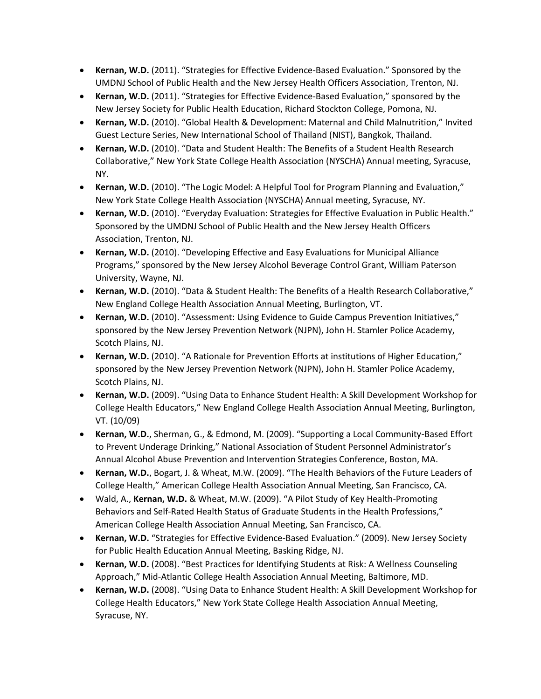- **Kernan, W.D.** (2011). "Strategies for Effective Evidence-Based Evaluation." Sponsored by the UMDNJ School of Public Health and the New Jersey Health Officers Association, Trenton, NJ.
- **Kernan, W.D.** (2011). "Strategies for Effective Evidence-Based Evaluation," sponsored by the New Jersey Society for Public Health Education, Richard Stockton College, Pomona, NJ.
- **Kernan, W.D.** (2010). "Global Health & Development: Maternal and Child Malnutrition," Invited Guest Lecture Series, New International School of Thailand (NIST), Bangkok, Thailand.
- **Kernan, W.D.** (2010). "Data and Student Health: The Benefits of a Student Health Research Collaborative," New York State College Health Association (NYSCHA) Annual meeting, Syracuse, NY.
- **Kernan, W.D.** (2010). "The Logic Model: A Helpful Tool for Program Planning and Evaluation," New York State College Health Association (NYSCHA) Annual meeting, Syracuse, NY.
- **Kernan, W.D.** (2010). "Everyday Evaluation: Strategies for Effective Evaluation in Public Health." Sponsored by the UMDNJ School of Public Health and the New Jersey Health Officers Association, Trenton, NJ.
- **Kernan, W.D.** (2010). "Developing Effective and Easy Evaluations for Municipal Alliance Programs," sponsored by the New Jersey Alcohol Beverage Control Grant, William Paterson University, Wayne, NJ.
- **Kernan, W.D.** (2010). "Data & Student Health: The Benefits of a Health Research Collaborative," New England College Health Association Annual Meeting, Burlington, VT.
- **Kernan, W.D.** (2010). "Assessment: Using Evidence to Guide Campus Prevention Initiatives," sponsored by the New Jersey Prevention Network (NJPN), John H. Stamler Police Academy, Scotch Plains, NJ.
- **Kernan, W.D.** (2010). "A Rationale for Prevention Efforts at institutions of Higher Education," sponsored by the New Jersey Prevention Network (NJPN), John H. Stamler Police Academy, Scotch Plains, NJ.
- **Kernan, W.D.** (2009). "Using Data to Enhance Student Health: A Skill Development Workshop for College Health Educators," New England College Health Association Annual Meeting, Burlington, VT. (10/09)
- **Kernan, W.D.**, Sherman, G., & Edmond, M. (2009). "Supporting a Local Community-Based Effort to Prevent Underage Drinking," National Association of Student Personnel Administrator's Annual Alcohol Abuse Prevention and Intervention Strategies Conference, Boston, MA.
- **Kernan, W.D.**, Bogart, J. & Wheat, M.W. (2009). "The Health Behaviors of the Future Leaders of College Health," American College Health Association Annual Meeting, San Francisco, CA.
- Wald, A., **Kernan, W.D.** & Wheat, M.W. (2009). "A Pilot Study of Key Health-Promoting Behaviors and Self-Rated Health Status of Graduate Students in the Health Professions," American College Health Association Annual Meeting, San Francisco, CA.
- **Kernan, W.D.** "Strategies for Effective Evidence-Based Evaluation." (2009). New Jersey Society for Public Health Education Annual Meeting, Basking Ridge, NJ.
- **Kernan, W.D.** (2008). "Best Practices for Identifying Students at Risk: A Wellness Counseling Approach," Mid-Atlantic College Health Association Annual Meeting, Baltimore, MD.
- **Kernan, W.D.** (2008). "Using Data to Enhance Student Health: A Skill Development Workshop for College Health Educators," New York State College Health Association Annual Meeting, Syracuse, NY.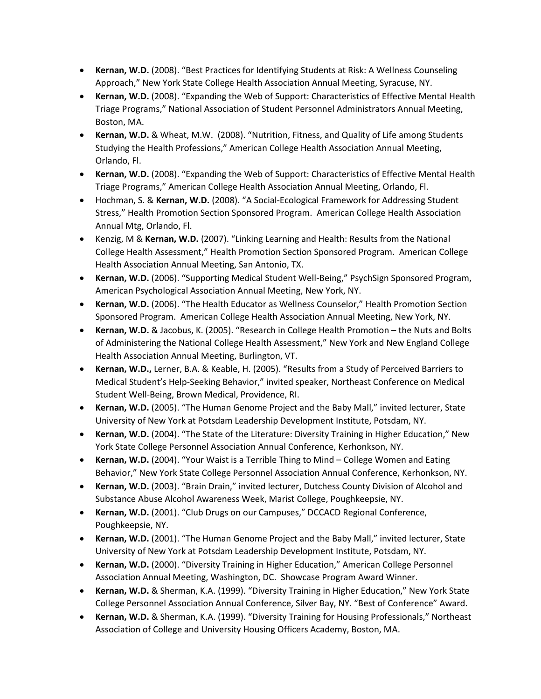- **Kernan, W.D.** (2008). "Best Practices for Identifying Students at Risk: A Wellness Counseling Approach," New York State College Health Association Annual Meeting, Syracuse, NY.
- **Kernan, W.D.** (2008). "Expanding the Web of Support: Characteristics of Effective Mental Health Triage Programs," National Association of Student Personnel Administrators Annual Meeting, Boston, MA.
- **Kernan, W.D.** & Wheat, M.W. (2008). "Nutrition, Fitness, and Quality of Life among Students Studying the Health Professions," American College Health Association Annual Meeting, Orlando, Fl.
- **Kernan, W.D.** (2008). "Expanding the Web of Support: Characteristics of Effective Mental Health Triage Programs," American College Health Association Annual Meeting, Orlando, Fl.
- Hochman, S. & **Kernan, W.D.** (2008). "A Social-Ecological Framework for Addressing Student Stress," Health Promotion Section Sponsored Program. American College Health Association Annual Mtg, Orlando, Fl.
- Kenzig, M & **Kernan, W.D.** (2007). "Linking Learning and Health: Results from the National College Health Assessment," Health Promotion Section Sponsored Program. American College Health Association Annual Meeting, San Antonio, TX.
- **Kernan, W.D.** (2006). "Supporting Medical Student Well-Being," PsychSign Sponsored Program, American Psychological Association Annual Meeting, New York, NY.
- **Kernan, W.D.** (2006). "The Health Educator as Wellness Counselor," Health Promotion Section Sponsored Program. American College Health Association Annual Meeting, New York, NY.
- **Kernan, W.D.** & Jacobus, K. (2005). "Research in College Health Promotion the Nuts and Bolts of Administering the National College Health Assessment," New York and New England College Health Association Annual Meeting, Burlington, VT.
- **Kernan, W.D.,** Lerner, B.A. & Keable, H. (2005). "Results from a Study of Perceived Barriers to Medical Student's Help-Seeking Behavior," invited speaker, Northeast Conference on Medical Student Well-Being, Brown Medical, Providence, RI.
- **Kernan, W.D.** (2005). "The Human Genome Project and the Baby Mall," invited lecturer, State University of New York at Potsdam Leadership Development Institute, Potsdam, NY.
- **Kernan, W.D.** (2004). "The State of the Literature: Diversity Training in Higher Education," New York State College Personnel Association Annual Conference, Kerhonkson, NY.
- **Kernan, W.D.** (2004). "Your Waist is a Terrible Thing to Mind College Women and Eating Behavior," New York State College Personnel Association Annual Conference, Kerhonkson, NY.
- **Kernan, W.D.** (2003). "Brain Drain," invited lecturer, Dutchess County Division of Alcohol and Substance Abuse Alcohol Awareness Week, Marist College, Poughkeepsie, NY.
- **Kernan, W.D.** (2001). "Club Drugs on our Campuses," DCCACD Regional Conference, Poughkeepsie, NY.
- **Kernan, W.D.** (2001). "The Human Genome Project and the Baby Mall," invited lecturer, State University of New York at Potsdam Leadership Development Institute, Potsdam, NY.
- **Kernan, W.D.** (2000). "Diversity Training in Higher Education," American College Personnel Association Annual Meeting, Washington, DC. Showcase Program Award Winner.
- **Kernan, W.D.** & Sherman, K.A. (1999). "Diversity Training in Higher Education," New York State College Personnel Association Annual Conference, Silver Bay, NY. "Best of Conference" Award.
- **Kernan, W.D.** & Sherman, K.A. (1999). "Diversity Training for Housing Professionals," Northeast Association of College and University Housing Officers Academy, Boston, MA.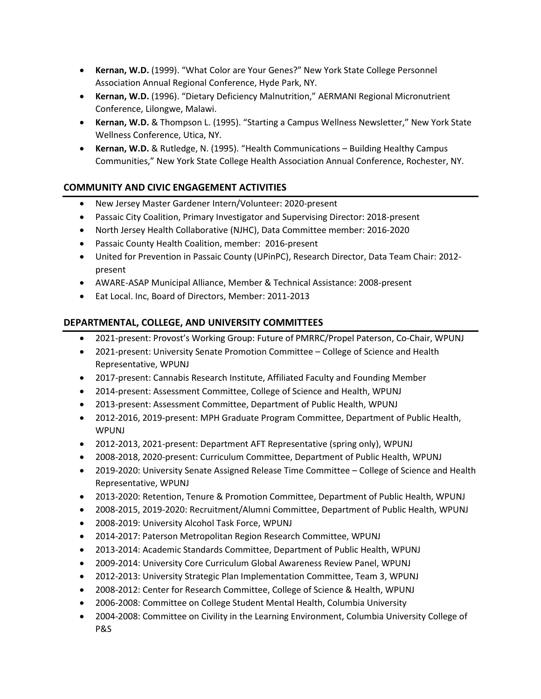- **Kernan, W.D.** (1999). "What Color are Your Genes?" New York State College Personnel Association Annual Regional Conference, Hyde Park, NY.
- **Kernan, W.D.** (1996). "Dietary Deficiency Malnutrition," AERMANI Regional Micronutrient Conference, Lilongwe, Malawi.
- **Kernan, W.D.** & Thompson L. (1995). "Starting a Campus Wellness Newsletter," New York State Wellness Conference, Utica, NY.
- **Kernan, W.D.** & Rutledge, N. (1995). "Health Communications Building Healthy Campus Communities," New York State College Health Association Annual Conference, Rochester, NY.

# **COMMUNITY AND CIVIC ENGAGEMENT ACTIVITIES**

- New Jersey Master Gardener Intern/Volunteer: 2020-present
- Passaic City Coalition, Primary Investigator and Supervising Director: 2018-present
- North Jersey Health Collaborative (NJHC), Data Committee member: 2016-2020
- Passaic County Health Coalition, member: 2016-present
- United for Prevention in Passaic County (UPinPC), Research Director, Data Team Chair: 2012 present
- AWARE-ASAP Municipal Alliance, Member & Technical Assistance: 2008-present
- Eat Local. Inc, Board of Directors, Member: 2011-2013

# **DEPARTMENTAL, COLLEGE, AND UNIVERSITY COMMITTEES**

- 2021-present: Provost's Working Group: Future of PMRRC/Propel Paterson, Co-Chair, WPUNJ
- 2021-present: University Senate Promotion Committee College of Science and Health Representative, WPUNJ
- 2017-present: Cannabis Research Institute, Affiliated Faculty and Founding Member
- 2014-present: Assessment Committee, College of Science and Health, WPUNJ
- 2013-present: Assessment Committee, Department of Public Health, WPUNJ
- 2012-2016, 2019-present: MPH Graduate Program Committee, Department of Public Health, WPUNJ
- 2012-2013, 2021-present: Department AFT Representative (spring only), WPUNJ
- 2008-2018, 2020-present: Curriculum Committee, Department of Public Health, WPUNJ
- 2019-2020: University Senate Assigned Release Time Committee College of Science and Health Representative, WPUNJ
- 2013-2020: Retention, Tenure & Promotion Committee, Department of Public Health, WPUNJ
- 2008-2015, 2019-2020: Recruitment/Alumni Committee, Department of Public Health, WPUNJ
- 2008-2019: University Alcohol Task Force, WPUNJ
- 2014-2017: Paterson Metropolitan Region Research Committee, WPUNJ
- 2013-2014: Academic Standards Committee, Department of Public Health, WPUNJ
- 2009-2014: University Core Curriculum Global Awareness Review Panel, WPUNJ
- 2012-2013: University Strategic Plan Implementation Committee, Team 3, WPUNJ
- 2008-2012: Center for Research Committee, College of Science & Health, WPUNJ
- 2006-2008: Committee on College Student Mental Health, Columbia University
- 2004-2008: Committee on Civility in the Learning Environment, Columbia University College of P&S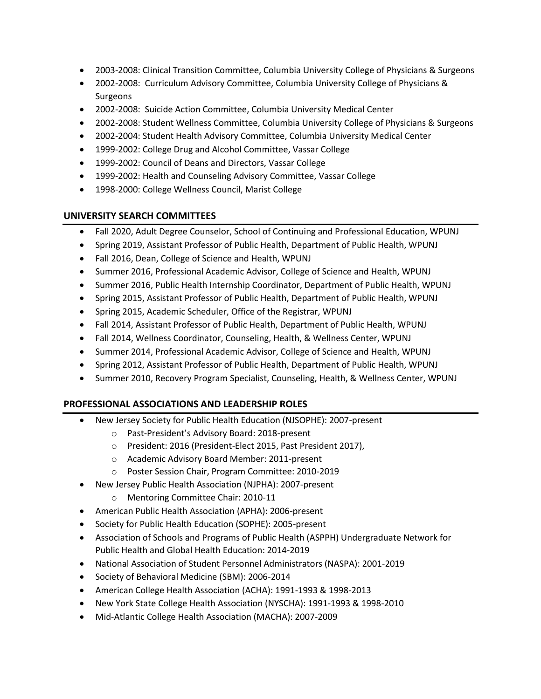- 2003-2008: Clinical Transition Committee, Columbia University College of Physicians & Surgeons
- 2002-2008: Curriculum Advisory Committee, Columbia University College of Physicians & Surgeons
- 2002-2008: Suicide Action Committee, Columbia University Medical Center
- 2002-2008: Student Wellness Committee, Columbia University College of Physicians & Surgeons
- 2002-2004: Student Health Advisory Committee, Columbia University Medical Center
- 1999-2002: College Drug and Alcohol Committee, Vassar College
- 1999-2002: Council of Deans and Directors, Vassar College
- 1999-2002: Health and Counseling Advisory Committee, Vassar College
- 1998-2000: College Wellness Council, Marist College

## **UNIVERSITY SEARCH COMMITTEES**

- Fall 2020, Adult Degree Counselor, School of Continuing and Professional Education, WPUNJ
- Spring 2019, Assistant Professor of Public Health, Department of Public Health, WPUNJ
- Fall 2016, Dean, College of Science and Health, WPUNJ
- Summer 2016, Professional Academic Advisor, College of Science and Health, WPUNJ
- Summer 2016, Public Health Internship Coordinator, Department of Public Health, WPUNJ
- Spring 2015, Assistant Professor of Public Health, Department of Public Health, WPUNJ
- Spring 2015, Academic Scheduler, Office of the Registrar, WPUNJ
- Fall 2014, Assistant Professor of Public Health, Department of Public Health, WPUNJ
- Fall 2014, Wellness Coordinator, Counseling, Health, & Wellness Center, WPUNJ
- Summer 2014, Professional Academic Advisor, College of Science and Health, WPUNJ
- Spring 2012, Assistant Professor of Public Health, Department of Public Health, WPUNJ
- Summer 2010, Recovery Program Specialist, Counseling, Health, & Wellness Center, WPUNJ

## **PROFESSIONAL ASSOCIATIONS AND LEADERSHIP ROLES**

- New Jersey Society for Public Health Education (NJSOPHE): 2007-present
	- o Past-President's Advisory Board: 2018-present
	- o President: 2016 (President-Elect 2015, Past President 2017),
	- o Academic Advisory Board Member: 2011-present
	- o Poster Session Chair, Program Committee: 2010-2019
- New Jersey Public Health Association (NJPHA): 2007-present
	- o Mentoring Committee Chair: 2010-11
- American Public Health Association (APHA): 2006-present
- Society for Public Health Education (SOPHE): 2005-present
- Association of Schools and Programs of Public Health (ASPPH) Undergraduate Network for Public Health and Global Health Education: 2014-2019
- National Association of Student Personnel Administrators (NASPA): 2001-2019
- Society of Behavioral Medicine (SBM): 2006-2014
- American College Health Association (ACHA): 1991-1993 & 1998-2013
- New York State College Health Association (NYSCHA): 1991-1993 & 1998-2010
- Mid-Atlantic College Health Association (MACHA): 2007-2009